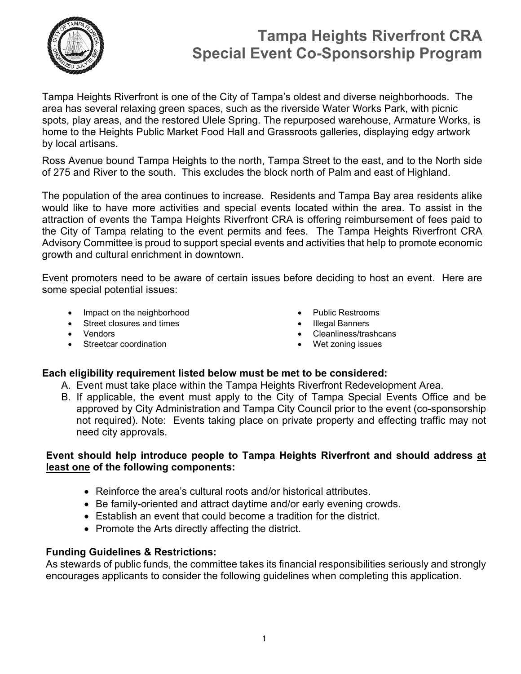

Tampa Heights Riverfront is one of the City of Tampa's oldest and diverse neighborhoods. The area has several relaxing green spaces, such as the riverside Water Works Park, with picnic spots, play areas, and the restored Ulele Spring. The repurposed warehouse, Armature Works, is home to the Heights Public Market Food Hall and Grassroots galleries, displaying edgy artwork by local artisans.

Ross Avenue bound Tampa Heights to the north, Tampa Street to the east, and to the North side of 275 and River to the south. This excludes the block north of Palm and east of Highland.

 growth and cultural enrichment in downtown. The population of the area continues to increase. Residents and Tampa Bay area residents alike would like to have more activities and special events located within the area. To assist in the attraction of events the Tampa Heights Riverfront CRA is offering reimbursement of fees paid to the City of Tampa relating to the event permits and fees. The Tampa Heights Riverfront CRA Advisory Committee is proud to support special events and activities that help to promote economic

Event promoters need to be aware of certain issues before deciding to host an event. Here are some special potential issues:

- Impact on the neighborhood **COV Public Restrooms**
- Street closures and times **Illegal Banners Illegal Banners**
- 
- Streetcar coordination **Weiter Contact Coordination Weiter Coordination Weiter Coordination**
- 
- 
- Vendors Cleanliness/trashcans
	-

### **Each eligibility requirement listed below must be met to be considered:**

- A. Event must take place within the Tampa Heights Riverfront Redevelopment Area.
- not required). Note: Events taking place on private property and effecting traffic may not B. If applicable, the event must apply to the City of Tampa Special Events Office and be approved by City Administration and Tampa City Council prior to the event (co-sponsorship need city approvals.

### **Event should help introduce people to Tampa Heights Riverfront and should address at least one of the following components:**

- Reinforce the area's cultural roots and/or historical attributes.
- Be family-oriented and attract daytime and/or early evening crowds.
- Establish an event that could become a tradition for the district.
- Promote the Arts directly affecting the district.

### **Funding Guidelines & Restrictions:**

As stewards of public funds, the committee takes its financial responsibilities seriously and strongly encourages applicants to consider the following guidelines when completing this application.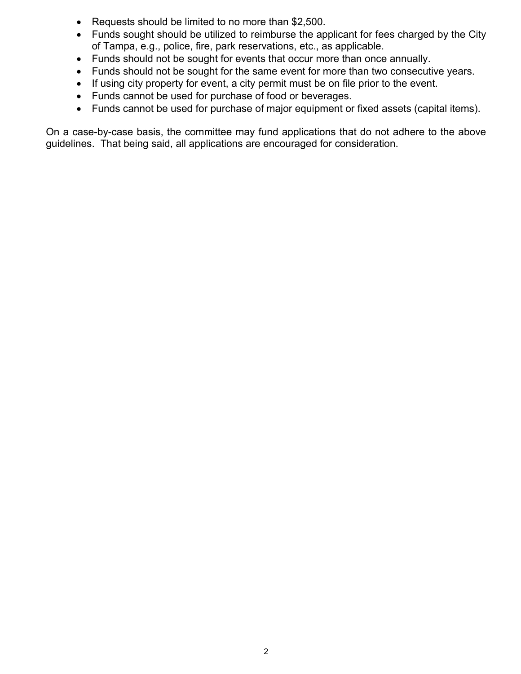- Requests should be limited to no more than \$2,500.
- of Tampa, e.g., police, fire, park reservations, etc., as applicable. • Funds sought should be utilized to reimburse the applicant for fees charged by the City
- Funds should not be sought for events that occur more than once annually.
- Funds should not be sought for the same event for more than two consecutive years.
- If using city property for event, a city permit must be on file prior to the event.
- Funds cannot be used for purchase of food or beverages.
- Funds cannot be used for purchase of major equipment or fixed assets (capital items).

On a case-by-case basis, the committee may fund applications that do not adhere to the above guidelines. That being said, all applications are encouraged for consideration.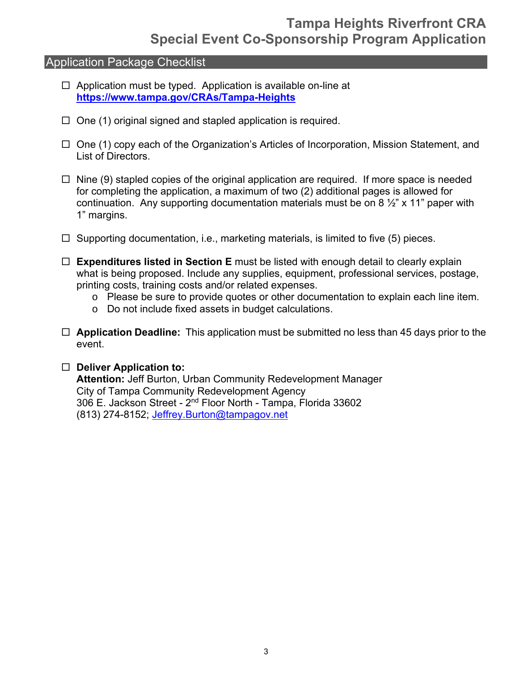### Application Package Checklist

- $\Box$  Application must be typed. Application is available on-line at **https://www.tampa.gov/CRAs/Tampa-Heights**
- $\Box$  One (1) original signed and stapled application is required.
- $\Box$  One (1) copy each of the Organization's Articles of Incorporation, Mission Statement, and List of Directors.
- $\Box$  Nine (9) stapled copies of the original application are required. If more space is needed for completing the application, a maximum of two (2) additional pages is allowed for continuation. Any supporting documentation materials must be on 8  $\frac{1}{2}$ " x 11" paper with 1" margins.
- $\Box$  Supporting documentation, i.e., marketing materials, is limited to five (5) pieces.
- **Expenditures listed in Section E** must be listed with enough detail to clearly explain what is being proposed. Include any supplies, equipment, professional services, postage, printing costs, training costs and/or related expenses.
	- o Please be sure to provide quotes or other documentation to explain each line item.
	- o Do not include fixed assets in budget calculations.
- □ Application Deadline: This application must be submitted no less than 45 days prior to the event.

### **Deliver Application to:**

**Attention:** Jeff Burton, Urban Community Redevelopment Manager City of Tampa Community Redevelopment Agency 306 E. Jackson Street - 2<sup>nd</sup> Floor North - Tampa, Florida 33602 (813) 274-8152; Jeffrey.Burton@tampagov.net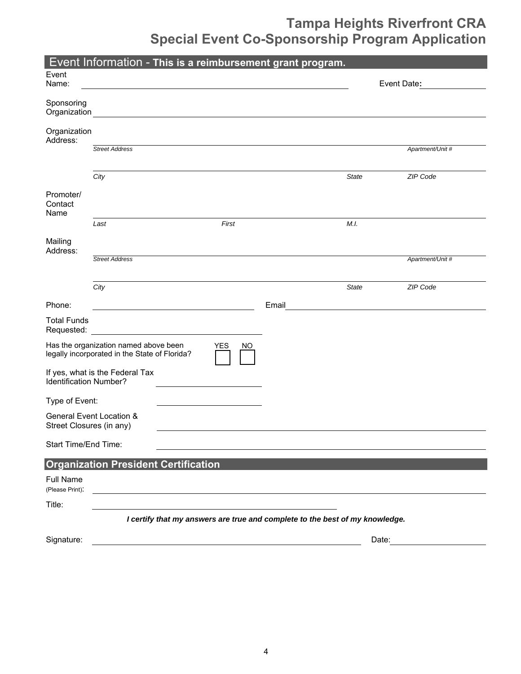|                                     |                                                                                        |  |                  | Event Information - This is a reimbursement grant program. |              |                  |
|-------------------------------------|----------------------------------------------------------------------------------------|--|------------------|------------------------------------------------------------|--------------|------------------|
| Event<br>Name:                      |                                                                                        |  |                  |                                                            |              | Event Date:      |
| Sponsoring<br>Organization          |                                                                                        |  |                  |                                                            |              |                  |
| Organization<br>Address:            |                                                                                        |  |                  |                                                            |              |                  |
|                                     | <b>Street Address</b>                                                                  |  |                  |                                                            |              | Apartment/Unit # |
|                                     | City                                                                                   |  |                  |                                                            | <b>State</b> | ZIP Code         |
| Promoter/<br>Contact<br>Name        |                                                                                        |  |                  |                                                            |              |                  |
|                                     | Last                                                                                   |  | First            |                                                            | M.I.         |                  |
| Mailing<br>Address:                 |                                                                                        |  |                  |                                                            |              |                  |
|                                     | <b>Street Address</b>                                                                  |  |                  |                                                            |              | Apartment/Unit # |
|                                     | City                                                                                   |  |                  |                                                            | <b>State</b> | ZIP Code         |
| Phone:                              |                                                                                        |  |                  | Email                                                      |              |                  |
| <b>Total Funds</b><br>Requested:    |                                                                                        |  |                  |                                                            |              |                  |
|                                     | Has the organization named above been<br>legally incorporated in the State of Florida? |  | <b>YES</b><br>NO |                                                            |              |                  |
| Identification Number?              | If yes, what is the Federal Tax                                                        |  |                  |                                                            |              |                  |
| Type of Event:                      |                                                                                        |  |                  |                                                            |              |                  |
| Street Closures (in any)            | General Event Location &                                                               |  |                  |                                                            |              |                  |
| Start Time/End Time:                |                                                                                        |  |                  |                                                            |              |                  |
|                                     | <b>Organization President Certification</b>                                            |  |                  |                                                            |              |                  |
| <b>Full Name</b><br>(Please Print): |                                                                                        |  |                  |                                                            |              |                  |
| Title:                              |                                                                                        |  |                  |                                                            |              |                  |
|                                     | I certify that my answers are true and complete to the best of my knowledge.           |  |                  |                                                            |              |                  |
| Signature:                          |                                                                                        |  |                  |                                                            |              | Date:            |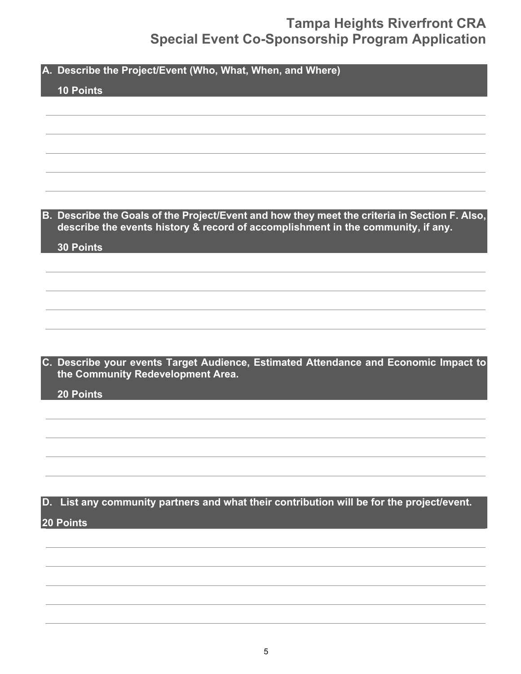**A. Describe the Project/Event (Who, What, When, and Where)** 

### **10 Points**

**B. Describe the Goals of the Project/Event and how they meet the criteria in Section F. Also, describe the events history & record of accomplishment in the community, if any.** 

**30 Points** 

**C. Describe your events Target Audience, Estimated Attendance and Economic Impact to the Community Redevelopment Area.** 

**20 Points** 

### **D. List any community partners and what their contribution will be for the project/event. 20 Points**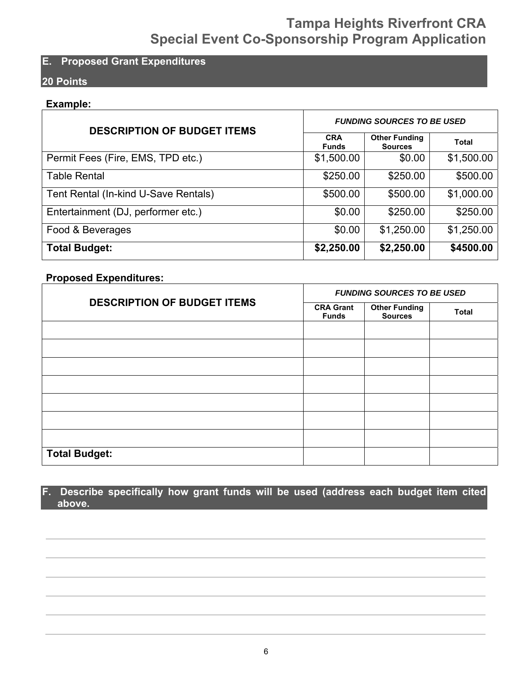### **E. Proposed Grant Expenditures**

### **20 Points**

### **Example:**

| <b>DESCRIPTION OF BUDGET ITEMS</b>   | <b>FUNDING SOURCES TO BE USED</b> |                                        |              |  |
|--------------------------------------|-----------------------------------|----------------------------------------|--------------|--|
|                                      | <b>CRA</b><br><b>Funds</b>        | <b>Other Funding</b><br><b>Sources</b> | <b>Total</b> |  |
| Permit Fees (Fire, EMS, TPD etc.)    | \$1,500.00                        | \$0.00                                 | \$1,500.00   |  |
| <b>Table Rental</b>                  | \$250.00                          | \$250.00                               | \$500.00     |  |
| Tent Rental (In-kind U-Save Rentals) | \$500.00                          | \$500.00                               | \$1,000.00   |  |
| Entertainment (DJ, performer etc.)   | \$0.00                            | \$250.00                               | \$250.00     |  |
| Food & Beverages                     | \$0.00                            | \$1,250.00                             | \$1,250.00   |  |
| <b>Total Budget:</b>                 | \$2,250.00                        | \$2,250.00                             | \$4500.00    |  |

### **Proposed Expenditures:**

|                                    | <b>FUNDING SOURCES TO BE USED</b> |                                        |              |  |
|------------------------------------|-----------------------------------|----------------------------------------|--------------|--|
| <b>DESCRIPTION OF BUDGET ITEMS</b> | <b>CRA Grant</b><br><b>Funds</b>  | <b>Other Funding</b><br><b>Sources</b> | <b>Total</b> |  |
|                                    |                                   |                                        |              |  |
|                                    |                                   |                                        |              |  |
|                                    |                                   |                                        |              |  |
|                                    |                                   |                                        |              |  |
|                                    |                                   |                                        |              |  |
|                                    |                                   |                                        |              |  |
|                                    |                                   |                                        |              |  |
| <b>Total Budget:</b>               |                                   |                                        |              |  |

### **F. Describe specifically how grant funds will be used (address each budget item cited above.**